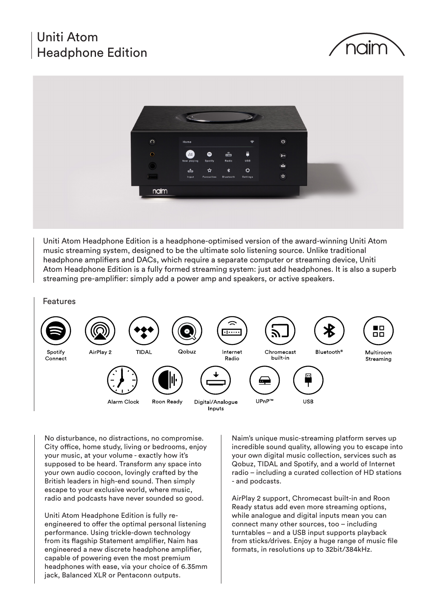# Uniti Atom Headphone Edition





Uniti Atom Headphone Edition is a headphone-optimised version of the award-winning Uniti Atom music streaming system, designed to be the ultimate solo listening source. Unlike traditional headphone amplifiers and DACs, which require a separate computer or streaming device, Uniti Atom Headphone Edition is a fully formed streaming system: just add headphones. It is also a superb streaming pre-amplifier: simply add a power amp and speakers, or active speakers.

Features



No disturbance, no distractions, no compromise. City office, home study, living or bedrooms, enjoy your music, at your volume - exactly how it's supposed to be heard. Transform any space into your own audio cocoon, lovingly crafted by the British leaders in high-end sound. Then simply escape to your exclusive world, where music, radio and podcasts have never sounded so good.

Uniti Atom Headphone Edition is fully reengineered to offer the optimal personal listening performance. Using trickle-down technology from its flagship Statement amplifier, Naim has engineered a new discrete headphone amplifier, capable of powering even the most premium headphones with ease, via your choice of 6.35mm jack, Balanced XLR or Pentaconn outputs.

Naim's unique music-streaming platform serves up incredible sound quality, allowing you to escape into your own digital music collection, services such as Qobuz, TIDAL and Spotify, and a world of Internet radio – including a curated collection of HD stations - and podcasts.

AirPlay 2 support, Chromecast built-in and Roon Ready status add even more streaming options, while analogue and digital inputs mean you can connect many other sources, too – including turntables – and a USB input supports playback from sticks/drives. Enjoy a huge range of music file formats, in resolutions up to 32bit/384kHz.